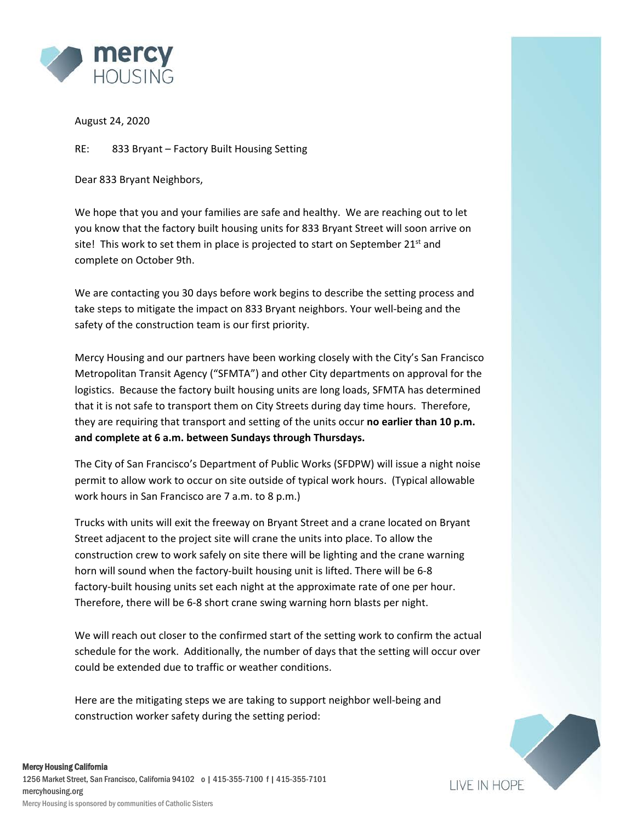

August 24, 2020

RE: 833 Bryant – Factory Built Housing Setting

Dear 833 Bryant Neighbors,

We hope that you and your families are safe and healthy. We are reaching out to let you know that the factory built housing units for 833 Bryant Street will soon arrive on site! This work to set them in place is projected to start on September 21<sup>st</sup> and complete on October 9th.

We are contacting you 30 days before work begins to describe the setting process and take steps to mitigate the impact on 833 Bryant neighbors. Your well-being and the safety of the construction team is our first priority.

Mercy Housing and our partners have been working closely with the City's San Francisco Metropolitan Transit Agency ("SFMTA") and other City departments on approval for the logistics. Because the factory built housing units are long loads, SFMTA has determined that it is not safe to transport them on City Streets during day time hours. Therefore, they are requiring that transport and setting of the units occur **no earlier than 10 p.m. and complete at 6 a.m. between Sundays through Thursdays.** 

The City of San Francisco's Department of Public Works (SFDPW) will issue a night noise permit to allow work to occur on site outside of typical work hours. (Typical allowable work hours in San Francisco are 7 a.m. to 8 p.m.)

Trucks with units will exit the freeway on Bryant Street and a crane located on Bryant Street adjacent to the project site will crane the units into place. To allow the construction crew to work safely on site there will be lighting and the crane warning horn will sound when the factory-built housing unit is lifted. There will be 6-8 factory-built housing units set each night at the approximate rate of one per hour. Therefore, there will be 6-8 short crane swing warning horn blasts per night.

We will reach out closer to the confirmed start of the setting work to confirm the actual schedule for the work. Additionally, the number of days that the setting will occur over could be extended due to traffic or weather conditions.

Here are the mitigating steps we are taking to support neighbor well-being and construction worker safety during the setting period: